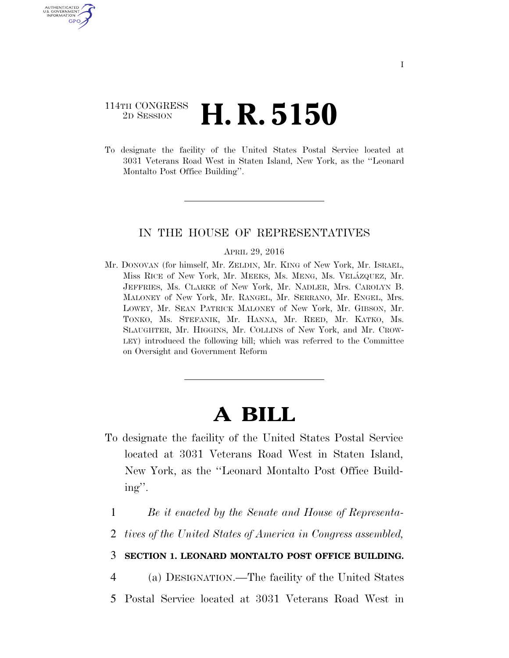# 114TH CONGRESS <sup>2D SESSION</sup> **H. R. 5150**

U.S. GOVERNMENT GPO

> To designate the facility of the United States Postal Service located at 3031 Veterans Road West in Staten Island, New York, as the ''Leonard Montalto Post Office Building''.

## IN THE HOUSE OF REPRESENTATIVES

#### APRIL 29, 2016

Mr. DONOVAN (for himself, Mr. ZELDIN, Mr. KING of New York, Mr. ISRAEL, Miss RICE of New York, Mr. MEEKS, Ms. MENG, Ms. VELÁZQUEZ, Mr. JEFFRIES, Ms. CLARKE of New York, Mr. NADLER, Mrs. CAROLYN B. MALONEY of New York, Mr. RANGEL, Mr. SERRANO, Mr. ENGEL, Mrs. LOWEY, Mr. SEAN PATRICK MALONEY of New York, Mr. GIBSON, Mr. TONKO, Ms. STEFANIK, Mr. HANNA, Mr. REED, Mr. KATKO, Ms. SLAUGHTER, Mr. HIGGINS, Mr. COLLINS of New York, and Mr. CROW-LEY) introduced the following bill; which was referred to the Committee on Oversight and Government Reform

# **A BILL**

- To designate the facility of the United States Postal Service located at 3031 Veterans Road West in Staten Island, New York, as the ''Leonard Montalto Post Office Building''.
	- 1 *Be it enacted by the Senate and House of Representa-*
	- 2 *tives of the United States of America in Congress assembled,*

### 3 **SECTION 1. LEONARD MONTALTO POST OFFICE BUILDING.**

- 4 (a) DESIGNATION.—The facility of the United States
- 5 Postal Service located at 3031 Veterans Road West in